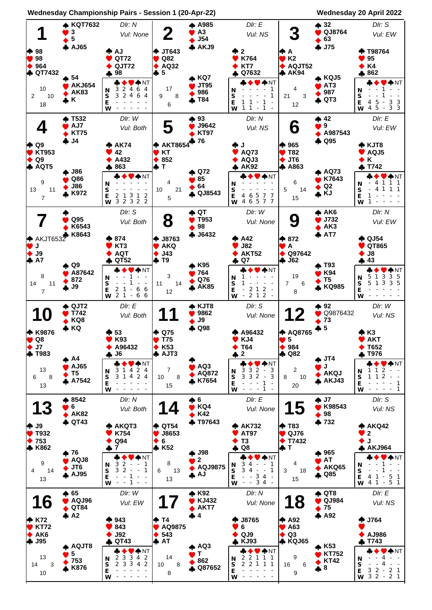

**Wednesday Championship Pairs - Session 1 (20-Apr-22) Wednesday 20 April 2022**